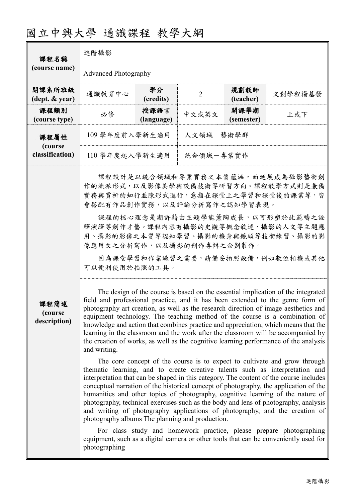| 國立中興大學 通識課程 教學大綱 |  |  |
|------------------|--|--|
|------------------|--|--|

| 課程名稱                            | 進階攝影                                                                                                                                                                                                                                                                                                                                                                                                                                                                                                                                                                                                                                                                                                                                                                                                                                                                                                                                                                                                                                                                                                                                                                                                                                                                                                                                                                                                                                                                                                                                                                                                                                                                                                                                                                                                                                 |                    |                |                    |         |
|---------------------------------|--------------------------------------------------------------------------------------------------------------------------------------------------------------------------------------------------------------------------------------------------------------------------------------------------------------------------------------------------------------------------------------------------------------------------------------------------------------------------------------------------------------------------------------------------------------------------------------------------------------------------------------------------------------------------------------------------------------------------------------------------------------------------------------------------------------------------------------------------------------------------------------------------------------------------------------------------------------------------------------------------------------------------------------------------------------------------------------------------------------------------------------------------------------------------------------------------------------------------------------------------------------------------------------------------------------------------------------------------------------------------------------------------------------------------------------------------------------------------------------------------------------------------------------------------------------------------------------------------------------------------------------------------------------------------------------------------------------------------------------------------------------------------------------------------------------------------------------|--------------------|----------------|--------------------|---------|
| (course name)                   | <b>Advanced Photography</b>                                                                                                                                                                                                                                                                                                                                                                                                                                                                                                                                                                                                                                                                                                                                                                                                                                                                                                                                                                                                                                                                                                                                                                                                                                                                                                                                                                                                                                                                                                                                                                                                                                                                                                                                                                                                          |                    |                |                    |         |
| 開課系所班級<br>(dept. & year)        | 通識教育中心                                                                                                                                                                                                                                                                                                                                                                                                                                                                                                                                                                                                                                                                                                                                                                                                                                                                                                                                                                                                                                                                                                                                                                                                                                                                                                                                                                                                                                                                                                                                                                                                                                                                                                                                                                                                                               | 學分<br>(credits)    | $\overline{2}$ | 規劃教師<br>(teacher)  | 文創學程楊基發 |
| 課程類別<br>(course type)           | 必修                                                                                                                                                                                                                                                                                                                                                                                                                                                                                                                                                                                                                                                                                                                                                                                                                                                                                                                                                                                                                                                                                                                                                                                                                                                                                                                                                                                                                                                                                                                                                                                                                                                                                                                                                                                                                                   | 授課語言<br>(language) | 中文或英文          | 開課學期<br>(semester) | 上或下     |
| 課程屬性<br>(course                 | 人文領域一藝術學群<br>109 學年度前入學新生適用                                                                                                                                                                                                                                                                                                                                                                                                                                                                                                                                                                                                                                                                                                                                                                                                                                                                                                                                                                                                                                                                                                                                                                                                                                                                                                                                                                                                                                                                                                                                                                                                                                                                                                                                                                                                          |                    |                |                    |         |
| classification)                 |                                                                                                                                                                                                                                                                                                                                                                                                                                                                                                                                                                                                                                                                                                                                                                                                                                                                                                                                                                                                                                                                                                                                                                                                                                                                                                                                                                                                                                                                                                                                                                                                                                                                                                                                                                                                                                      |                    |                |                    |         |
| 課程簡述<br>(course<br>description) | 統合領域一專業實作<br>110 學年度起入學新生適用<br>課程設計是以統合領域和專業實務之本質蘊涵,而延展成為攝影藝術創<br>作的流派形式,以及影像美學與設備技術等研習方向。課程教學方式則是兼備<br>實務與賞析的知行並陳形式進行,意指在課堂上之學習和課堂後的課業等,皆<br>會搭配有作品創作實務,以及評論分析寫作之認知學習表現。<br>課程的核心理念是期許藉由主題學能薰陶成長,以可形塑於此範疇之詮<br>釋演繹等創作才藝。課程內容有攝影的史觀等概念敘述、攝影的人文等主題應<br>用、攝影的影像之本質等認知學習、攝影的機身與鏡頭等技術練習、攝影的影<br>像應用文之分析寫作,以及攝影的創作專輯之企劃製作。<br>因為課堂學習和作業練習之需要,請備妥拍照設備,例如數位相機或其他<br>可以便利使用於拍照的工具。<br>The design of the course is based on the essential implication of the integrated<br>field and professional practice, and it has been extended to the genre form of<br>photography art creation, as well as the research direction of image aesthetics and<br>equipment technology. The teaching method of the course is a combination of<br>knowledge and action that combines practice and appreciation, which means that the<br>learning in the classroom and the work after the classroom will be accompanied by<br>the creation of works, as well as the cognitive learning performance of the analysis<br>and writing.<br>The core concept of the course is to expect to cultivate and grow through<br>thematic learning, and to create creative talents such as interpretation and<br>interpretation that can be shaped in this category. The content of the course includes<br>conceptual narration of the historical concept of photography, the application of the<br>humanities and other topics of photography, cognitive learning of the nature of<br>photography, technical exercises such as the body and lens of photography, analysis<br>and writing of photography applications of photography, and the creation of<br>photography albums The planning and production.<br>For class study and homework practice, please prepare photographing<br>equipment, such as a digital camera or other tools that can be conveniently used for |                    |                |                    |         |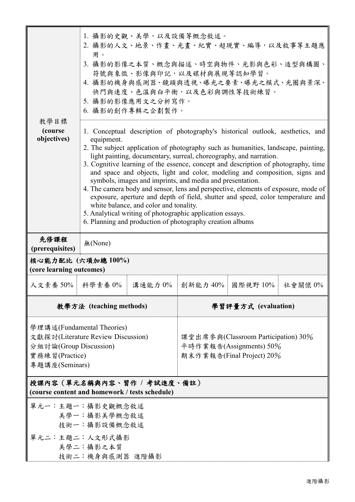|                                                                                                                                | 1. 攝影的史觀、美學,以及設備等概念敘述。<br>2. 攝影的人文、地景、作畫、光畫、紀實、超現實、編導,以及敘事等主題應<br>用。<br>3. 攝影的影像之本質、概念與描述、時空與物件、光影與色彩、造型與構圖、<br>符號與象徵、影像與印記,以及媒材與展現等認知學習。<br>4. 攝影的機身與感測器、鏡頭與透視、曝光之要素、曝光之模式、光圈與景深、<br>快門與速度、色溫與白平衡,以及色彩與調性等技術練習。<br>5. 攝影的影像應用文之分析寫作。<br>6. 攝影的創作專輯之企劃製作。                                                                                                                                                                                                                                                                                                                                                                                                                                                                                                                                                                               |                                                                                             |  |                                 |  |
|--------------------------------------------------------------------------------------------------------------------------------|-----------------------------------------------------------------------------------------------------------------------------------------------------------------------------------------------------------------------------------------------------------------------------------------------------------------------------------------------------------------------------------------------------------------------------------------------------------------------------------------------------------------------------------------------------------------------------------------------------------------------------------------------------------------------------------------------------------------------------------------------------------------------------------------------------------------------------------------|---------------------------------------------------------------------------------------------|--|---------------------------------|--|
| 教學目標<br>(course)<br>objectives)                                                                                                | 1. Conceptual description of photography's historical outlook, aesthetics, and<br>equipment.<br>2. The subject application of photography such as humanities, landscape, painting,<br>light painting, documentary, surreal, choreography, and narration.<br>3. Cognitive learning of the essence, concept and description of photography, time<br>and space and objects, light and color, modeling and composition, signs and<br>symbols, images and imprints, and media and presentation.<br>4. The camera body and sensor, lens and perspective, elements of exposure, mode of<br>exposure, aperture and depth of field, shutter and speed, color temperature and<br>white balance, and color and tonality.<br>5. Analytical writing of photographic application essays.<br>6. Planning and production of photography creation albums |                                                                                             |  |                                 |  |
| 先修課程<br>(prerequisites)                                                                                                        | 無(None)                                                                                                                                                                                                                                                                                                                                                                                                                                                                                                                                                                                                                                                                                                                                                                                                                                 |                                                                                             |  |                                 |  |
|                                                                                                                                | 核心能力配比 (六項加總100%)<br>(core learning outcomes)                                                                                                                                                                                                                                                                                                                                                                                                                                                                                                                                                                                                                                                                                                                                                                                           |                                                                                             |  |                                 |  |
| 人文素養 50%   科學素養 0%                                                                                                             |                                                                                                                                                                                                                                                                                                                                                                                                                                                                                                                                                                                                                                                                                                                                                                                                                                         | 溝通能力 0%                                                                                     |  | 創新能力 40%    國際視野 10%    社會關懷 0% |  |
|                                                                                                                                | 教學方法 (teaching methods)                                                                                                                                                                                                                                                                                                                                                                                                                                                                                                                                                                                                                                                                                                                                                                                                                 |                                                                                             |  | 學習評量方式 (evaluation)             |  |
| 學理講述(Fundamental Theories)<br>文獻探討(Literature Review Discussion)<br>分組討論(Group Discussion)<br>實務練習(Practice)<br>專題講座(Seminars) |                                                                                                                                                                                                                                                                                                                                                                                                                                                                                                                                                                                                                                                                                                                                                                                                                                         | 課堂出席參與(Classroom Participation) 30%<br>平時作業報告(Assignments) 50%<br>期末作業報告(Final Project) 20% |  |                                 |  |
| 授課內容(單元名稱與內容、習作 / 考試進度、備註)<br>(course content and homework / tests schedule)                                                   |                                                                                                                                                                                                                                                                                                                                                                                                                                                                                                                                                                                                                                                                                                                                                                                                                                         |                                                                                             |  |                                 |  |
| 單元一:主題一:攝影史觀概念敘述                                                                                                               | 美學一:攝影美學概念敘述<br>技術一:攝影設備概念敘述                                                                                                                                                                                                                                                                                                                                                                                                                                                                                                                                                                                                                                                                                                                                                                                                            |                                                                                             |  |                                 |  |
| 單元二:主題二:人文形式攝影                                                                                                                 | 美學二:攝影之本質<br>技術二:機身與感測器 進階攝影                                                                                                                                                                                                                                                                                                                                                                                                                                                                                                                                                                                                                                                                                                                                                                                                            |                                                                                             |  |                                 |  |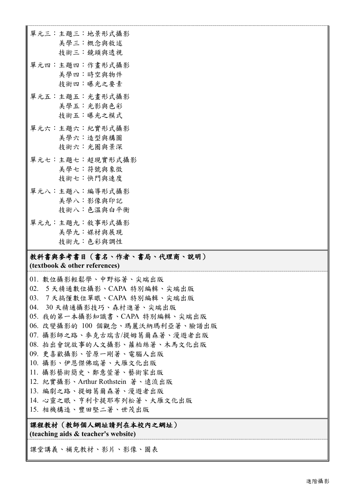單元三:主題三:地景形式攝影 美學三:概念與敘述 技術三:鏡頭與透視 單元四:主題四:作畫形式攝影 美學四:時空與物件 技術四:曝光之要素 單元五:主題五:光畫形式攝影 美學五:光影與色彩 技術五:曝光之模式 單元六:主題六:紀實形式攝影 美學六:造型與構圖 技術六:光圈與景深 單元七:主題七:超現實形式攝影 美學七:符號與象徵 技術七:快門與速度 單元八:主題八:編導形式攝影 美學八:影像與印記 技術八:色溫與白平衡 單元九:主題九:敘事形式攝影 美學九:媒材與展現 技術九:色彩與調性

## 教科書與參考書目(書名、作者、書局、代理商、說明)

**(textbook & other references)**

01. 數位攝影輕鬆學、中野裕著、尖端出版 02. 5 天精通數位攝影、CAPA 特別編輯、尖端出版 03. 7 天搞懂數位單眼、CAPA 特別編輯、尖端出版 04. 30 天精通攝影技巧、森村進著、尖端出版 05. 我的第一本攝影知識書、CAPA 特別編輯、尖端出版 06. 改變攝影的 100 個觀念、瑪麗沃納瑪利亞著、臉譜出版 07. 攝影師之路、麥克古瑞吉/提姆葛爾森著、漫遊者出版 08. 拍出會說故事的人文攝影、蘿柏絲著、木馬文化出版 09. 更喜歡攝影、菅原一剛著、電腦人出版 10. 攝影、伊恩傑佛瑞著、大雁文化出版 11. 攝影藝術簡史、鄭意萱著、藝術家出版 12. 紀實攝影、Arthur Rothstein 著、遠流出版 13. 編劇之路、提姆葛爾森著、漫遊者出版 14. 心靈之眼、亨利卡提耶布列松著、大雁文化出版 15. 相機構造、豐田堅二著、世茂出版

課程教材(教師個人網址請列在本校內之網址) **(teaching aids & teacher's website)**

課堂講義、補充教材、影片、影像、圖表